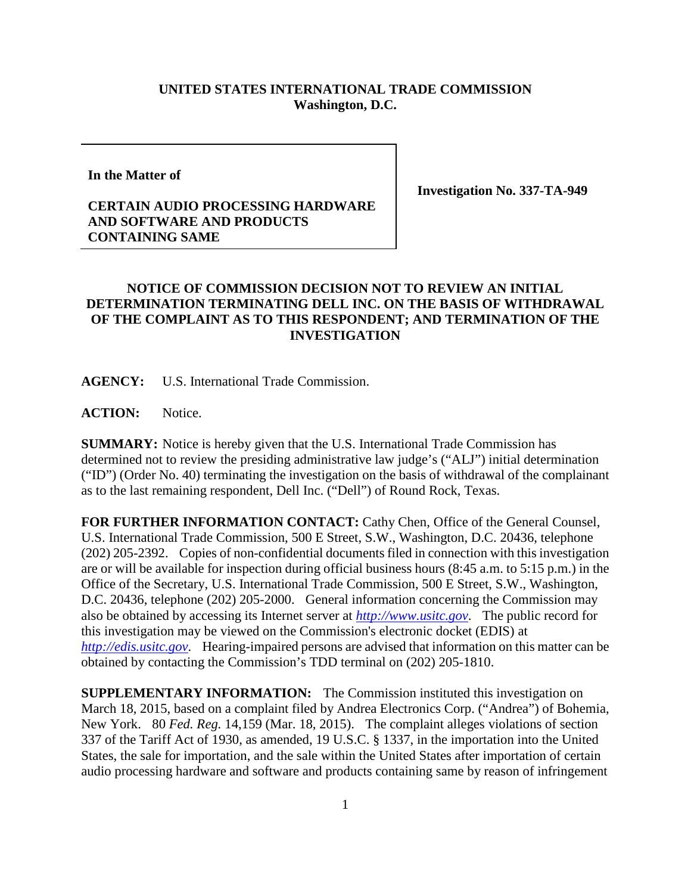## **UNITED STATES INTERNATIONAL TRADE COMMISSION Washington, D.C.**

**In the Matter of**

**Investigation No. 337-TA-949**

## **CERTAIN AUDIO PROCESSING HARDWARE AND SOFTWARE AND PRODUCTS CONTAINING SAME**

## **NOTICE OF COMMISSION DECISION NOT TO REVIEW AN INITIAL DETERMINATION TERMINATING DELL INC. ON THE BASIS OF WITHDRAWAL OF THE COMPLAINT AS TO THIS RESPONDENT; AND TERMINATION OF THE INVESTIGATION**

**AGENCY:** U.S. International Trade Commission.

**ACTION:** Notice.

**SUMMARY:** Notice is hereby given that the U.S. International Trade Commission has determined not to review the presiding administrative law judge's ("ALJ") initial determination ("ID") (Order No. 40) terminating the investigation on the basis of withdrawal of the complainant as to the last remaining respondent, Dell Inc. ("Dell") of Round Rock, Texas.

**FOR FURTHER INFORMATION CONTACT:** Cathy Chen, Office of the General Counsel, U.S. International Trade Commission, 500 E Street, S.W., Washington, D.C. 20436, telephone (202) 205-2392. Copies of non-confidential documents filed in connection with this investigation are or will be available for inspection during official business hours (8:45 a.m. to 5:15 p.m.) in the Office of the Secretary, U.S. International Trade Commission, 500 E Street, S.W., Washington, D.C. 20436, telephone (202) 205-2000. General information concerning the Commission may also be obtained by accessing its Internet server at *[http://www.usitc.gov](http://www.usitc.gov/)*. The public record for this investigation may be viewed on the Commission's electronic docket (EDIS) at *[http://edis.usitc.gov](http://edis.usitc.gov/)*. Hearing-impaired persons are advised that information on this matter can be obtained by contacting the Commission's TDD terminal on (202) 205-1810.

**SUPPLEMENTARY INFORMATION:** The Commission instituted this investigation on March 18, 2015, based on a complaint filed by Andrea Electronics Corp. ("Andrea") of Bohemia, New York. 80 *Fed. Reg.* 14,159 (Mar. 18, 2015). The complaint alleges violations of section 337 of the Tariff Act of 1930, as amended, 19 U.S.C. § 1337, in the importation into the United States, the sale for importation, and the sale within the United States after importation of certain audio processing hardware and software and products containing same by reason of infringement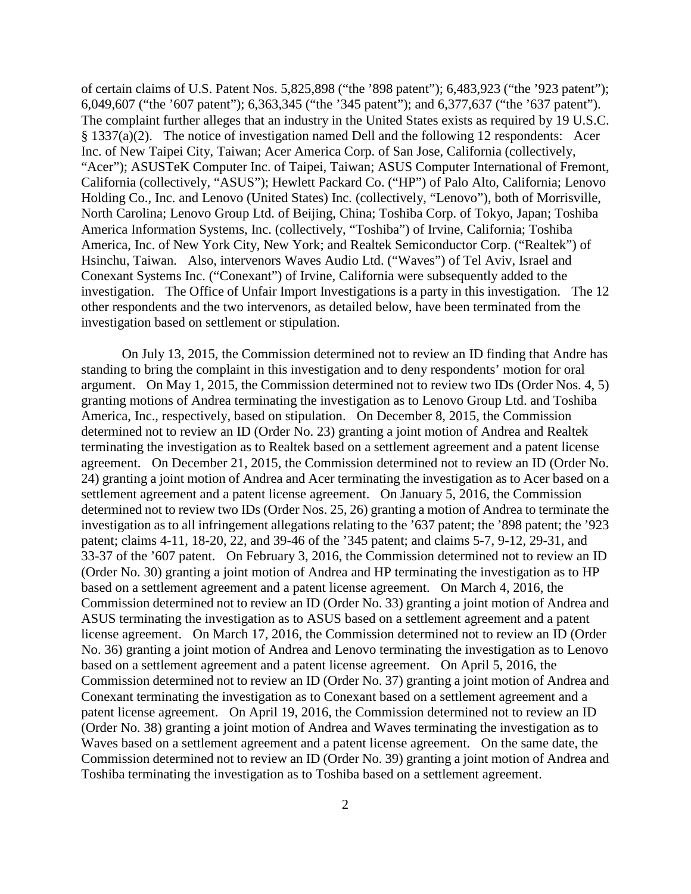of certain claims of U.S. Patent Nos. 5,825,898 ("the '898 patent"); 6,483,923 ("the '923 patent"); 6,049,607 ("the '607 patent"); 6,363,345 ("the '345 patent"); and 6,377,637 ("the '637 patent"). The complaint further alleges that an industry in the United States exists as required by 19 U.S.C. § 1337(a)(2). The notice of investigation named Dell and the following 12 respondents: Acer Inc. of New Taipei City, Taiwan; Acer America Corp. of San Jose, California (collectively, "Acer"); ASUSTeK Computer Inc. of Taipei, Taiwan; ASUS Computer International of Fremont, California (collectively, "ASUS"); Hewlett Packard Co. ("HP") of Palo Alto, California; Lenovo Holding Co., Inc. and Lenovo (United States) Inc. (collectively, "Lenovo"), both of Morrisville, North Carolina; Lenovo Group Ltd. of Beijing, China; Toshiba Corp. of Tokyo, Japan; Toshiba America Information Systems, Inc. (collectively, "Toshiba") of Irvine, California; Toshiba America, Inc. of New York City, New York; and Realtek Semiconductor Corp. ("Realtek") of Hsinchu, Taiwan. Also, intervenors Waves Audio Ltd. ("Waves") of Tel Aviv, Israel and Conexant Systems Inc. ("Conexant") of Irvine, California were subsequently added to the investigation. The Office of Unfair Import Investigations is a party in this investigation. The 12 other respondents and the two intervenors, as detailed below, have been terminated from the investigation based on settlement or stipulation.

On July 13, 2015, the Commission determined not to review an ID finding that Andre has standing to bring the complaint in this investigation and to deny respondents' motion for oral argument. On May 1, 2015, the Commission determined not to review two IDs (Order Nos. 4, 5) granting motions of Andrea terminating the investigation as to Lenovo Group Ltd. and Toshiba America, Inc., respectively, based on stipulation. On December 8, 2015, the Commission determined not to review an ID (Order No. 23) granting a joint motion of Andrea and Realtek terminating the investigation as to Realtek based on a settlement agreement and a patent license agreement. On December 21, 2015, the Commission determined not to review an ID (Order No. 24) granting a joint motion of Andrea and Acer terminating the investigation as to Acer based on a settlement agreement and a patent license agreement. On January 5, 2016, the Commission determined not to review two IDs (Order Nos. 25, 26) granting a motion of Andrea to terminate the investigation as to all infringement allegations relating to the '637 patent; the '898 patent; the '923 patent; claims 4-11, 18-20, 22, and 39-46 of the '345 patent; and claims 5-7, 9-12, 29-31, and 33-37 of the '607 patent. On February 3, 2016, the Commission determined not to review an ID (Order No. 30) granting a joint motion of Andrea and HP terminating the investigation as to HP based on a settlement agreement and a patent license agreement. On March 4, 2016, the Commission determined not to review an ID (Order No. 33) granting a joint motion of Andrea and ASUS terminating the investigation as to ASUS based on a settlement agreement and a patent license agreement. On March 17, 2016, the Commission determined not to review an ID (Order No. 36) granting a joint motion of Andrea and Lenovo terminating the investigation as to Lenovo based on a settlement agreement and a patent license agreement. On April 5, 2016, the Commission determined not to review an ID (Order No. 37) granting a joint motion of Andrea and Conexant terminating the investigation as to Conexant based on a settlement agreement and a patent license agreement. On April 19, 2016, the Commission determined not to review an ID (Order No. 38) granting a joint motion of Andrea and Waves terminating the investigation as to Waves based on a settlement agreement and a patent license agreement. On the same date, the Commission determined not to review an ID (Order No. 39) granting a joint motion of Andrea and Toshiba terminating the investigation as to Toshiba based on a settlement agreement.